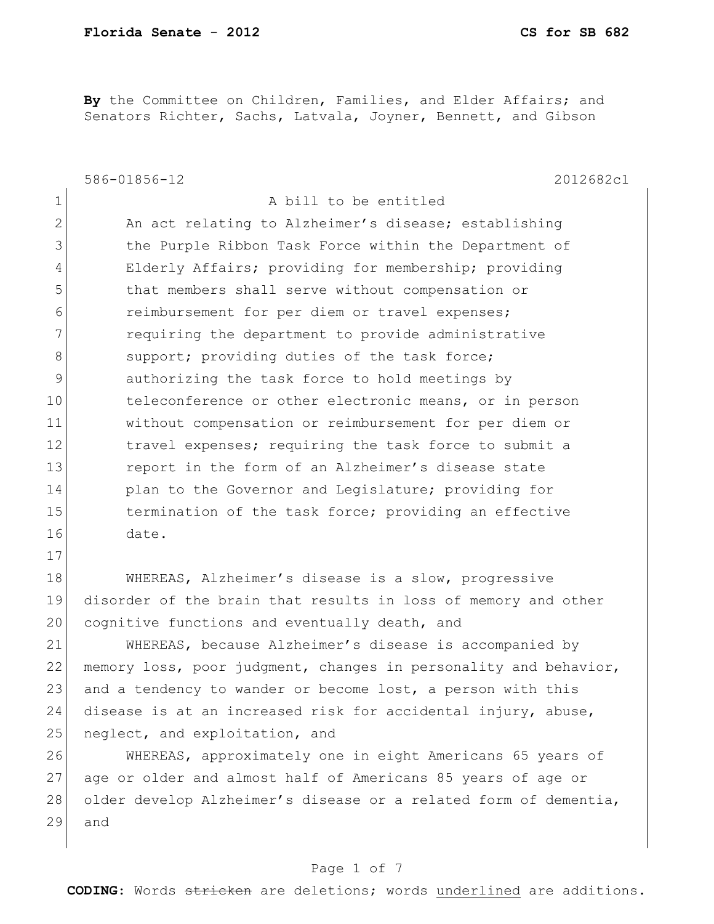17

**By** the Committee on Children, Families, and Elder Affairs; and Senators Richter, Sachs, Latvala, Joyner, Bennett, and Gibson

586-01856-12 2012682c1 1 a bill to be entitled 2 An act relating to Alzheimer's disease; establishing 3 1 12 the Purple Ribbon Task Force within the Department of 4 Elderly Affairs; providing for membership; providing 5 that members shall serve without compensation or 6 **6** reimbursement for per diem or travel expenses; 7 **requiring the department to provide administrative** 8 support; providing duties of the task force; 9 authorizing the task force to hold meetings by 10 teleconference or other electronic means, or in person 11 without compensation or reimbursement for per diem or 12 travel expenses; requiring the task force to submit a 13 **13** report in the form of an Alzheimer's disease state 14 plan to the Governor and Legislature; providing for 15 15 termination of the task force; providing an effective 16 date.

18 WHEREAS, Alzheimer's disease is a slow, progressive 19 disorder of the brain that results in loss of memory and other 20 cognitive functions and eventually death, and

21 WHEREAS, because Alzheimer's disease is accompanied by 22 memory loss, poor judgment, changes in personality and behavior, 23 and a tendency to wander or become lost, a person with this 24 disease is at an increased risk for accidental injury, abuse, 25 neglect, and exploitation, and

26 WHEREAS, approximately one in eight Americans 65 years of 27 age or older and almost half of Americans 85 years of age or 28 older develop Alzheimer's disease or a related form of dementia, 29 and

### Page 1 of 7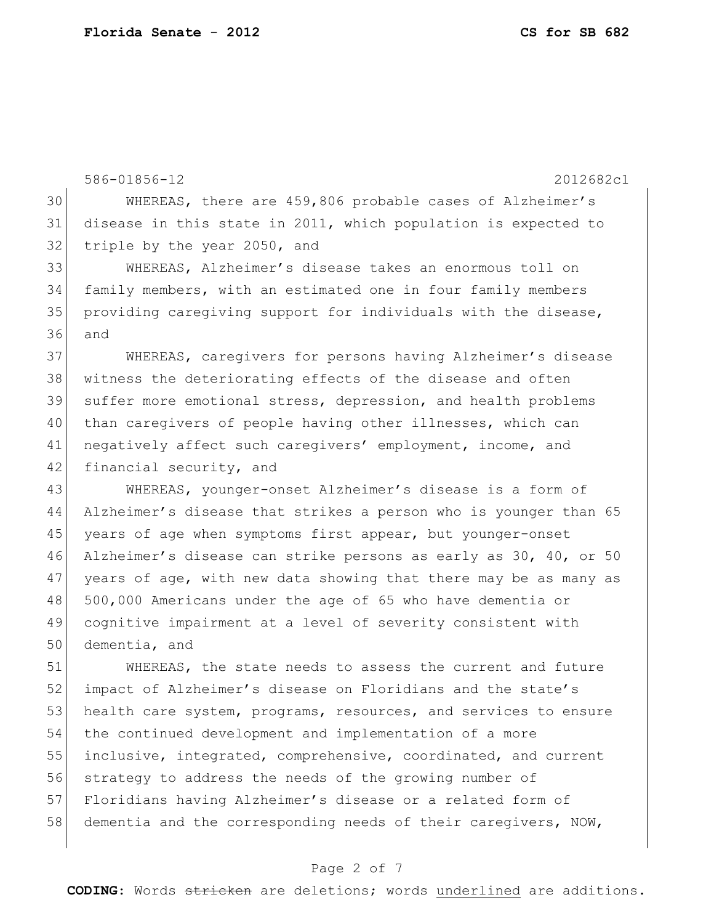586-01856-12 2012682c1 WHEREAS, there are 459,806 probable cases of Alzheimer's disease in this state in 2011, which population is expected to 32 triple by the year 2050, and WHEREAS, Alzheimer's disease takes an enormous toll on family members, with an estimated one in four family members 35 providing caregiving support for individuals with the disease, 36 and WHEREAS, caregivers for persons having Alzheimer's disease 38 witness the deteriorating effects of the disease and often suffer more emotional stress, depression, and health problems 40 than caregivers of people having other illnesses, which can 41 negatively affect such caregivers' employment, income, and 42 financial security, and WHEREAS, younger-onset Alzheimer's disease is a form of Alzheimer's disease that strikes a person who is younger than 65 45 years of age when symptoms first appear, but younger-onset Alzheimer's disease can strike persons as early as 30, 40, or 50 years of age, with new data showing that there may be as many as 500,000 Americans under the age of 65 who have dementia or cognitive impairment at a level of severity consistent with dementia, and WHEREAS, the state needs to assess the current and future 52 impact of Alzheimer's disease on Floridians and the state's 53 health care system, programs, resources, and services to ensure the continued development and implementation of a more inclusive, integrated, comprehensive, coordinated, and current strategy to address the needs of the growing number of

57 Floridians having Alzheimer's disease or a related form of 58 dementia and the corresponding needs of their caregivers, NOW,

### Page 2 of 7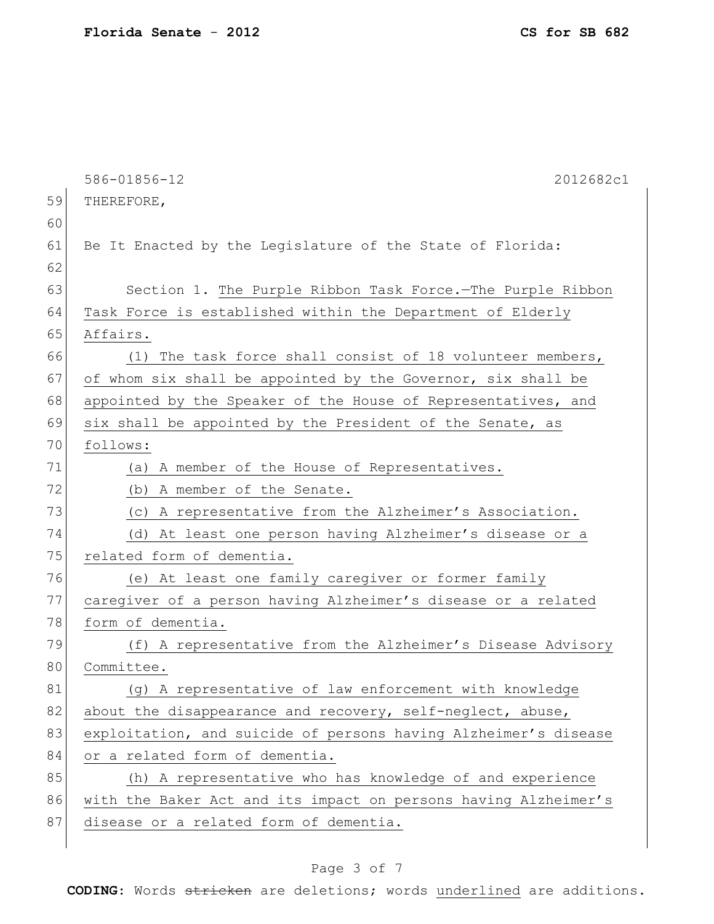|    | 586-01856-12<br>2012682c1                                       |
|----|-----------------------------------------------------------------|
| 59 | THEREFORE,                                                      |
| 60 |                                                                 |
| 61 | Be It Enacted by the Legislature of the State of Florida:       |
| 62 |                                                                 |
| 63 | Section 1. The Purple Ribbon Task Force.-The Purple Ribbon      |
| 64 | Task Force is established within the Department of Elderly      |
| 65 | Affairs.                                                        |
| 66 | The task force shall consist of 18 volunteer members,<br>(1)    |
| 67 | of whom six shall be appointed by the Governor, six shall be    |
| 68 | appointed by the Speaker of the House of Representatives, and   |
| 69 | six shall be appointed by the President of the Senate, as       |
| 70 | follows:                                                        |
| 71 | A member of the House of Representatives.<br>(a)                |
| 72 | (b) A member of the Senate.                                     |
| 73 | A representative from the Alzheimer's Association.<br>(C)       |
| 74 | (d) At least one person having Alzheimer's disease or a         |
| 75 | related form of dementia.                                       |
| 76 | (e) At least one family caregiver or former family              |
| 77 | caregiver of a person having Alzheimer's disease or a related   |
| 78 | form of dementia.                                               |
| 79 | (f) A representative from the Alzheimer's Disease Advisory      |
| 80 | Committee.                                                      |
| 81 | (g) A representative of law enforcement with knowledge          |
| 82 | about the disappearance and recovery, self-neglect, abuse,      |
| 83 | exploitation, and suicide of persons having Alzheimer's disease |
| 84 | or a related form of dementia.                                  |
| 85 | (h) A representative who has knowledge of and experience        |
| 86 | with the Baker Act and its impact on persons having Alzheimer's |
| 87 | disease or a related form of dementia.                          |
|    |                                                                 |

# Page 3 of 7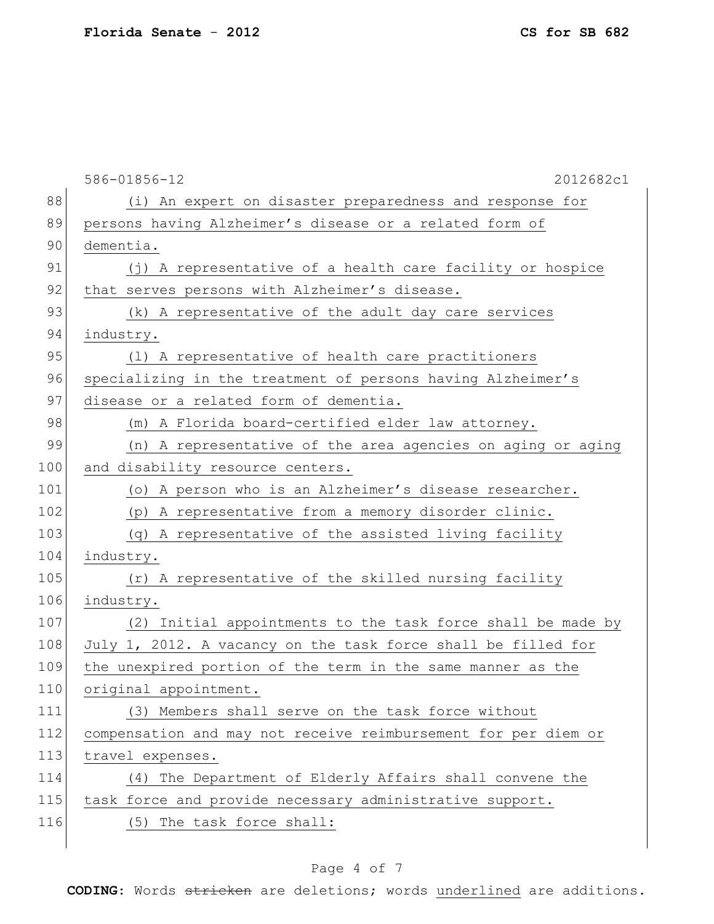|     | 586-01856-12<br>2012682c1                                      |
|-----|----------------------------------------------------------------|
| 88  | (i) An expert on disaster preparedness and response for        |
| 89  | persons having Alzheimer's disease or a related form of        |
| 90  | dementia.                                                      |
| 91  | (j) A representative of a health care facility or hospice      |
| 92  | that serves persons with Alzheimer's disease.                  |
| 93  | (k) A representative of the adult day care services            |
| 94  | industry.                                                      |
| 95  | (1) A representative of health care practitioners              |
| 96  | specializing in the treatment of persons having Alzheimer's    |
| 97  | disease or a related form of dementia.                         |
| 98  | (m) A Florida board-certified elder law attorney.              |
| 99  | (n) A representative of the area agencies on aging or aging    |
| 100 | and disability resource centers.                               |
| 101 | (o) A person who is an Alzheimer's disease researcher.         |
| 102 | (p) A representative from a memory disorder clinic.            |
| 103 | (q) A representative of the assisted living facility           |
| 104 | industry.                                                      |
| 105 | (r) A representative of the skilled nursing facility           |
| 106 | industry.                                                      |
| 107 | (2) Initial appointments to the task force shall be made by    |
| 108 | July 1, 2012. A vacancy on the task force shall be filled for  |
| 109 | the unexpired portion of the term in the same manner as the    |
| 110 | original appointment.                                          |
| 111 | (3) Members shall serve on the task force without              |
| 112 | compensation and may not receive reimbursement for per diem or |
| 113 | travel expenses.                                               |
| 114 | (4) The Department of Elderly Affairs shall convene the        |
| 115 | task force and provide necessary administrative support.       |
| 116 | (5) The task force shall:                                      |

# Page 4 of 7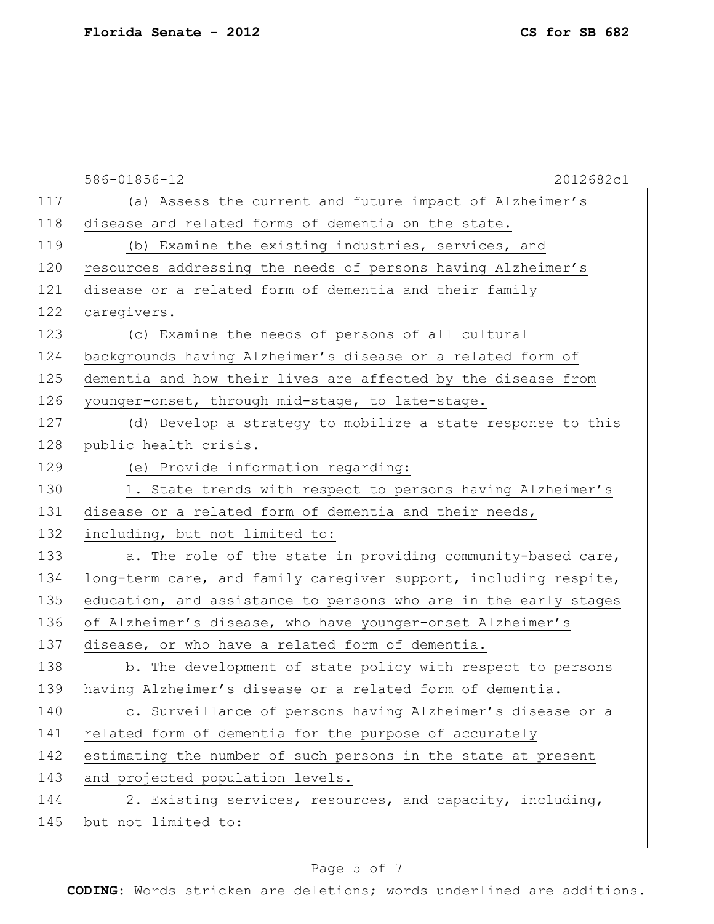|     | 586-01856-12<br>2012682c1                                        |
|-----|------------------------------------------------------------------|
| 117 | (a) Assess the current and future impact of Alzheimer's          |
| 118 | disease and related forms of dementia on the state.              |
| 119 | (b) Examine the existing industries, services, and               |
| 120 | resources addressing the needs of persons having Alzheimer's     |
| 121 | disease or a related form of dementia and their family           |
| 122 | caregivers.                                                      |
| 123 | (c) Examine the needs of persons of all cultural                 |
| 124 | backgrounds having Alzheimer's disease or a related form of      |
| 125 | dementia and how their lives are affected by the disease from    |
| 126 | younger-onset, through mid-stage, to late-stage.                 |
| 127 | (d) Develop a strategy to mobilize a state response to this      |
| 128 | public health crisis.                                            |
| 129 | (e) Provide information regarding:                               |
| 130 | 1. State trends with respect to persons having Alzheimer's       |
| 131 | disease or a related form of dementia and their needs,           |
| 132 | including, but not limited to:                                   |
| 133 | a. The role of the state in providing community-based care,      |
| 134 | long-term care, and family caregiver support, including respite, |
| 135 | education, and assistance to persons who are in the early stages |
| 136 | of Alzheimer's disease, who have younger-onset Alzheimer's       |
| 137 | disease, or who have a related form of dementia.                 |
| 138 | b. The development of state policy with respect to persons       |
| 139 | having Alzheimer's disease or a related form of dementia.        |
| 140 | c. Surveillance of persons having Alzheimer's disease or a       |
| 141 | related form of dementia for the purpose of accurately           |
| 142 | estimating the number of such persons in the state at present    |
| 143 | and projected population levels.                                 |
| 144 | 2. Existing services, resources, and capacity, including,        |
| 145 | but not limited to:                                              |
|     |                                                                  |

# Page 5 of 7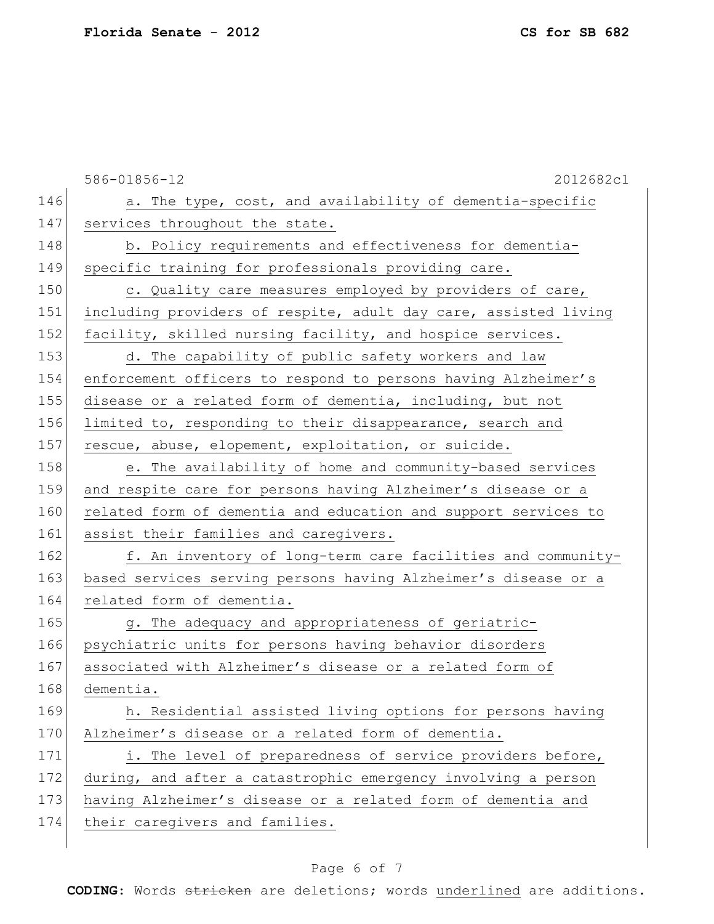586-01856-12 2012682c1 146 a. The type, cost, and availability of dementia-specific 147 services throughout the state. 148 b. Policy requirements and effectiveness for dementia-149 specific training for professionals providing care. 150 c. Quality care measures employed by providers of care, 151 including providers of respite, adult day care, assisted living 152 facility, skilled nursing facility, and hospice services. 153 d. The capability of public safety workers and law 154 enforcement officers to respond to persons having Alzheimer's 155 disease or a related form of dementia, including, but not 156 limited to, responding to their disappearance, search and 157 rescue, abuse, elopement, exploitation, or suicide. 158 e. The availability of home and community-based services 159 and respite care for persons having Alzheimer's disease or a 160 related form of dementia and education and support services to 161 assist their families and caregivers. 162 f. An inventory of long-term care facilities and community-163 based services serving persons having Alzheimer's disease or a 164 related form of dementia. 165 g. The adequacy and appropriateness of geriatric-166 psychiatric units for persons having behavior disorders 167 associated with Alzheimer's disease or a related form of 168 dementia. 169 h. Residential assisted living options for persons having 170 Alzheimer's disease or a related form of dementia. 171 i. The level of preparedness of service providers before, 172 during, and after a catastrophic emergency involving a person 173 having Alzheimer's disease or a related form of dementia and 174 their caregivers and families.

### Page 6 of 7